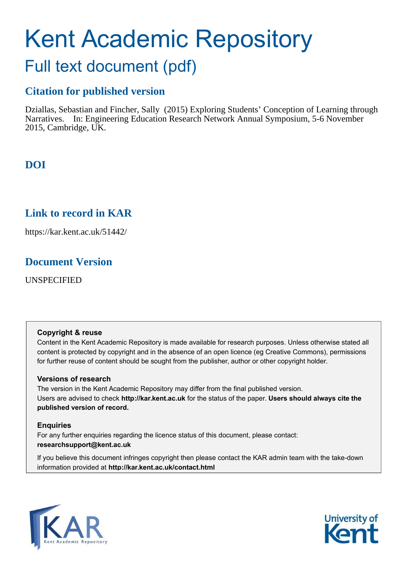# Kent Academic Repository

## Full text document (pdf)

## **Citation for published version**

Dziallas, Sebastian and Fincher, Sally (2015) Exploring Students' Conception of Learning through Narratives. In: Engineering Education Research Network Annual Symposium, 5-6 November 2015, Cambridge, UK.

## **DOI**

## **Link to record in KAR**

https://kar.kent.ac.uk/51442/

## **Document Version**

UNSPECIFIED

## **Copyright & reuse**

Content in the Kent Academic Repository is made available for research purposes. Unless otherwise stated all content is protected by copyright and in the absence of an open licence (eg Creative Commons), permissions for further reuse of content should be sought from the publisher, author or other copyright holder.

## **Versions of research**

The version in the Kent Academic Repository may differ from the final published version. Users are advised to check **http://kar.kent.ac.uk** for the status of the paper. **Users should always cite the published version of record.**

## **Enquiries**

For any further enquiries regarding the licence status of this document, please contact: **researchsupport@kent.ac.uk**

If you believe this document infringes copyright then please contact the KAR admin team with the take-down information provided at **http://kar.kent.ac.uk/contact.html**